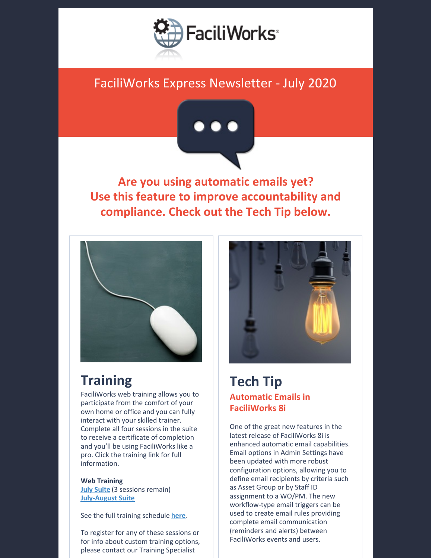

## FaciliWorks Express Newsletter - July 2020



**Are you using automatic emails yet? Use this feature to improve accountability and compliance. Check out the Tech Tip below.**



# **Training**

FaciliWorks web training allows you to participate from the comfort of your own home or office and you can fully interact with your skilled trainer. Complete all four sessions in the suite to receive a certificate of completion and you'll be using FaciliWorks like a pro. Click the training link for full information.

**Web Training July [Suite](https://faciliworks.com/wp-content/uploads/FaciliWorks_8i_Web_Training_Suite_July_2020.pdf)** (3 sessions remain) **[July-August](https://faciliworks.com/wp-content/uploads/FaciliWorks_8i_Web_Training_Suite_July-August_2020.pdf) Suite**

See the full training schedule **[here](https://faciliworks.com/training-schedule/)**.

To register for any of these sessions or for info about custom training options, please contact our Training Specialist



#### **Tech Tip Automatic Emails in FaciliWorks 8i**

One of the great new features in the latest release of FaciliWorks 8i is enhanced automatic email capabilities. Email options in Admin Settings have been updated with more robust configuration options, allowing you to define email recipients by criteria such as Asset Group or by Staff ID assignment to a WO/PM. The new workflow-type email triggers can be used to create email rules providing complete email communication (reminders and alerts) between FaciliWorks events and users.